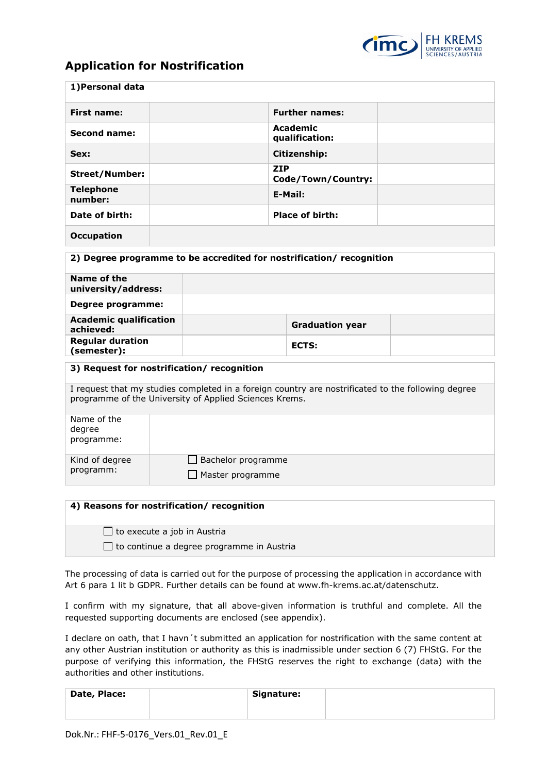

## **Application for Nostrification**

| 1) Personal data                                                                                                                                             |  |                                              |  |                            |  |  |  |
|--------------------------------------------------------------------------------------------------------------------------------------------------------------|--|----------------------------------------------|--|----------------------------|--|--|--|
| <b>First name:</b>                                                                                                                                           |  |                                              |  | <b>Further names:</b>      |  |  |  |
| Second name:                                                                                                                                                 |  |                                              |  | Academic<br>qualification: |  |  |  |
| Sex:                                                                                                                                                         |  |                                              |  | Citizenship:               |  |  |  |
| <b>Street/Number:</b>                                                                                                                                        |  | <b>ZIP</b><br>Code/Town/Country:             |  |                            |  |  |  |
| <b>Telephone</b><br>number:                                                                                                                                  |  | E-Mail:                                      |  |                            |  |  |  |
| Date of birth:                                                                                                                                               |  | <b>Place of birth:</b>                       |  |                            |  |  |  |
| <b>Occupation</b>                                                                                                                                            |  |                                              |  |                            |  |  |  |
| 2) Degree programme to be accredited for nostrification/ recognition                                                                                         |  |                                              |  |                            |  |  |  |
| Name of the<br>university/address:                                                                                                                           |  |                                              |  |                            |  |  |  |
| <b>Degree programme:</b>                                                                                                                                     |  |                                              |  |                            |  |  |  |
| <b>Academic qualification</b><br>achieved:                                                                                                                   |  |                                              |  | <b>Graduation year</b>     |  |  |  |
| <b>Regular duration</b><br>(semester):                                                                                                                       |  |                                              |  | <b>ECTS:</b>               |  |  |  |
| 3) Request for nostrification/ recognition                                                                                                                   |  |                                              |  |                            |  |  |  |
| I request that my studies completed in a foreign country are nostrificated to the following degree<br>programme of the University of Applied Sciences Krems. |  |                                              |  |                            |  |  |  |
| Name of the<br>degree<br>programme:                                                                                                                          |  |                                              |  |                            |  |  |  |
| Kind of degree<br>programm:                                                                                                                                  |  | $\Box$ Bachelor programme<br>$\Box$ $M = -1$ |  |                            |  |  |  |

| 4) Reasons for nostrification/ recognition       |
|--------------------------------------------------|
| $\Box$ to execute a job in Austria               |
| $\Box$ to continue a degree programme in Austria |

Master programme

The processing of data is carried out for the purpose of processing the application in accordance with Art 6 para 1 lit b GDPR. Further details can be found at [www.fh-krems.ac.at/datenschutz.](http://www.fh-krems.ac.at/datenschutz)

I confirm with my signature, that all above-given information is truthful and complete. All the requested supporting documents are enclosed (see appendix).

I declare on oath, that I havn´t submitted an application for nostrification with the same content at any other Austrian institution or authority as this is inadmissible under section 6 (7) FHStG. For the purpose of verifying this information, the FHStG reserves the right to exchange (data) with the authorities and other institutions.

| Date, Place: | Signature: |  |
|--------------|------------|--|
|              |            |  |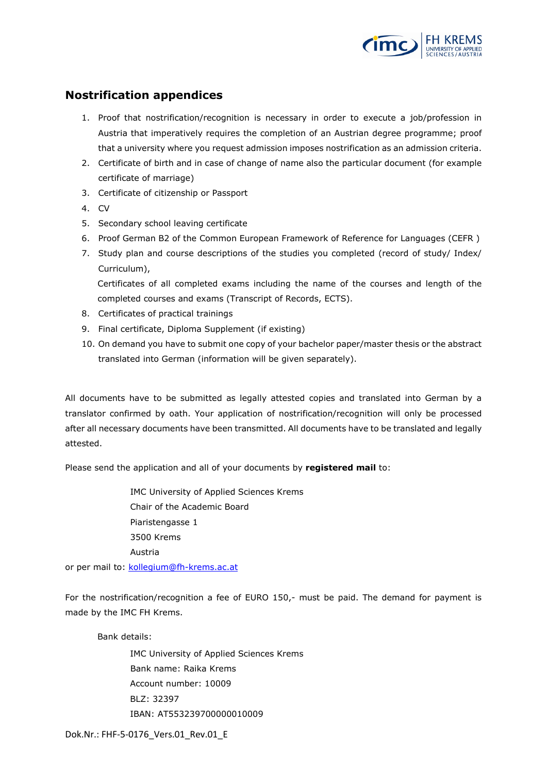

## **Nostrification appendices**

- 1. Proof that nostrification/recognition is necessary in order to execute a job/profession in Austria that imperatively requires the completion of an Austrian degree programme; proof that a university where you request admission imposes nostrification as an admission criteria.
- 2. Certificate of birth and in case of change of name also the particular document (for example certificate of marriage)
- 3. Certificate of citizenship or Passport
- 4. CV
- 5. Secondary school leaving certificate
- 6. Proof German B2 of the Common European Framework of Reference for Languages (CEFR )
- 7. Study plan and course descriptions of the studies you completed (record of study/ Index/ Curriculum),

Certificates of all completed exams including the name of the courses and length of the completed courses and exams (Transcript of Records, ECTS).

- 8. Certificates of practical trainings
- 9. Final certificate, Diploma Supplement (if existing)
- 10. On demand you have to submit one copy of your bachelor paper/master thesis or the abstract translated into German (information will be given separately).

All documents have to be submitted as legally attested copies and translated into German by a translator confirmed by oath. Your application of nostrification/recognition will only be processed after all necessary documents have been transmitted. All documents have to be translated and legally attested.

Please send the application and all of your documents by **registered mail** to:

IMC University of Applied Sciences Krems Chair of the Academic Board Piaristengasse 1 3500 Krems Austria

or per mail to: kollegium@fh-krems.ac.at

For the nostrification/recognition a fee of EURO 150,- must be paid. The demand for payment is made by the IMC FH Krems.

Bank details:

IMC University of Applied Sciences Krems Bank name: Raika Krems Account number: 10009 BLZ: 32397 IBAN: AT553239700000010009